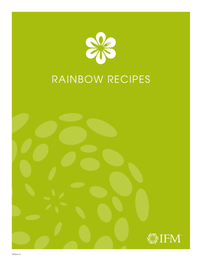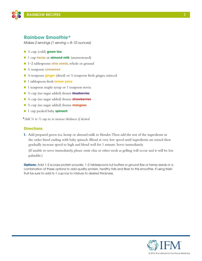

### **Rainbow Smoothie\***

*Makes 2 servings (1 serving ≈ 8–10 ounces)*

- n ½ cup (cold) **green tea**
- 1 cup **hemp** or **almond milk** (unsweetened)
- 1–2 tablespoons **chia seeds**, whole or ground
- n ¼ teaspoon **cinnamon**
- <sup>1</sup>/<sub>8</sub> teaspoon **ginger** (dried) or <sup>1</sup>/<sub>2</sub> teaspoon fresh ginger, minced
- 1 tablespoon fresh **lemon juice**
- $\blacksquare$  1 teaspoon maple syrup or 1 teaspoon stevia
- n ½ cup (no sugar added) frozen **blueberries**
- n ½ cup (no sugar added) frozen **strawberries**
- n ½ cup (no sugar added) frozen **mangoes**
- 1 cup packed baby **spinach**

**\****Add ¼ to ½ cup ice to increase thickness if desired* 

### **Directions**

**1.** Add prepared green tea, hemp or almond milk to blender. Then add the rest of the ingredients in the order listed ending with baby spinach. Blend at very low speed until ingredients are mixed then gradually increase speed to high and blend well for 1 minute. Serve immediately.

(If unable to serve immediately, please omit chia or other seeds as gelling will occur and it will be less palatable.)

**Options:** Add 1-2 scoops protein powder, 1-2 tablespoons nut butters or ground flax or hemp seeds or a combination of these options to add quality protein, healthy fats and fiber to this smoothie. If using fresh fruit be sure to add ½–1 cup ice to mixture to desired thickness.

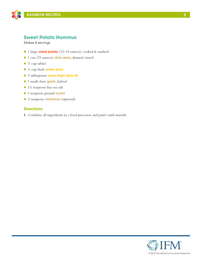

# **Sweet Potato Hummus**

*Makes 8 servings* 

- 1 large **sweet potato** (12–14 ounces), cooked & mashed
- 1 can (15 ounces) **chick peas**, drained, rinsed
- $\blacksquare$  ¼ cup tahini
- n ¼ cup fresh **lemon juice**
- n 3 tablespoons **extra-virgin olive oil**
- n 1 small clove **garlic**, halved
- $\blacksquare$  1½ teaspoon fine sea salt
- n 1 teaspoon ground **cumin**
- **n** <sup>1</sup>/<sub>2</sub> teaspoon **cinnamon** (optional)

### **Directions**

**1.** Combine all ingredients in a food processor, and purée until smooth.

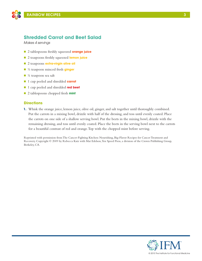

# **Shredded Carrot and Beet Salad**

*Makes 4 servings*

- n 2 tablespoons freshly squeezed **orange juice**
- n 2 teaspoons freshly squeezed **lemon juice**
- **n** 2 teaspoons **extra-virgin olive oil**
- ½ teaspoon minced fresh **ginger**
- $\blacksquare$  ¼ teaspoon sea salt
- n 1 cup peeled and shredded **carrot**
- n 1 cup peeled and shredded **red beet**
- n 2 tablespoons chopped fresh **mint**

### **Directions**

**1.** Whisk the orange juice, lemon juice, olive oil, ginger, and salt together until thoroughly combined. Put the carrots in a mixing bowl, drizzle with half of the dressing, and toss until evenly coated. Place the carrots on one side of a shallow serving bowl. Put the beets in the mixing bowl, drizzle with the remaining dressing, and toss until evenly coated. Place the beets in the serving bowl next to the carrots for a beautiful contrast of red and orange. Top with the chopped mint before serving.

Reprinted with permission from The Cancer-Fighting Kitchen: Nourishing, Big-Flavor Recipes for Cancer Treatment and Recovery. Copyright © 2009 by Rebecca Katz with Mat Edelson, Ten Speed Press, a division of the Crown Publishing Group, Berkeley, CA.

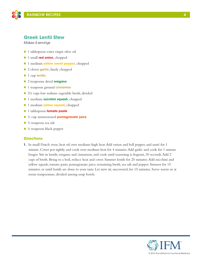

### **Greek Lentil Stew**

*Makes 4 servings*

- 1 tablespoon extra virgin olive oil
- **n** 1 small **red onion**, chopped
- 1 medium **yellow sweet pepper**, chopped
- 2 cloves **garlic**, finely chopped
- 1 cup lentils
- n 2 teaspoons dried **oregano**
- 1 teaspoon ground **cinnamon**
- $\Box$  2½ cups low sodium vegetable broth, divided
- n 1 medium **zucchini squash**, chopped
- **n** 1 medium **yellow squash**, chopped
- **n** 1 tablespoon **tomato paste**
- n ½ cup unsweetened **pomegranate juice**
- $\blacksquare$  ½ teaspoon sea salt
- $\blacksquare$  ¼ teaspoon black pepper

#### **Directions**

**1.** In small Dutch oven, heat oil over medium-high heat. Add onion and bell pepper, and sauté for 1 minute. Cover pot tightly and cook over medium heat for 4 minutes. Add garlic and cook for 1 minute longer. Stir in lentils, oregano and cinnamon, and cook until seasoning is fragrant, 30 seconds. Add 2 cups of broth. Bring to a boil, reduce heat and cover. Simmer lentils for 25 minutes. Add zucchini and yellow squash, tomato paste, pomegranate juice, remaining broth, sea salt and pepper. Simmer for 15 minutes, or until lentils are done to your taste. Let stew sit, uncovered, for 15 minutes. Serve warm or at room temperature, divided among soup bowls.



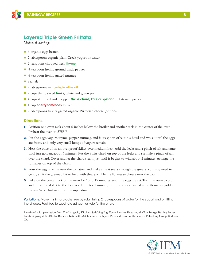

## **Layered Triple Green Frittata**

*Makes 6 servings*

- 6 organic eggs beaten
- 2 tablespoons organic plain Greek yogurt or water
- 2 teaspoons chopped fresh **thyme**
- $\blacksquare$  ¼ teaspoon freshly ground black pepper
- $\blacksquare$  <sup>1</sup>/<sub>8</sub> teaspoon freshly grated nutmeg
- Sea salt
- 2 tablespoons **extra-virgin olive oil**
- 2 cups thinly sliced **leeks**, white and green parts
- n 4 cups stemmed and chopped **Swiss chard, kale or spinach** in bite-size pieces
- **n** 1 cup **cherry tomatoes**, halved
- 2 tablespoons freshly grated organic Parmesan cheese (optional)

### **Directions**

- **1.** Position one oven rack about 6 inches below the broiler and another rack in the center of the oven. Preheat the oven to 375° F.
- **2.** Put the eggs, yogurt, thyme, pepper, nutmeg, and  $\frac{1}{2}$  teaspoon of salt in a bowl and whisk until the eggs are frothy and only very small lumps of yogurt remain.
- **3.** Heat the olive oil in an ovenproof skillet over medium heat. Add the leeks and a pinch of salt and sauté until just golden, about 6 minutes. Put the Swiss chard on top of the leeks and sprinkle a pinch of salt over the chard. Cover and let the chard steam just until it begins to wilt, about 2 minutes. Arrange the tomatoes on top of the chard.
- **4.** Pour the egg mixture over the tomatoes and make sure it seeps through the greens; you may need to gently shift the greens a bit to help with this. Sprinkle the Parmesan cheese over the top.
- **5.** Bake on the center rack of the oven for 10 to 15 minutes, until the eggs are set. Turn the oven to broil and move the skillet to the top rack. Broil for 1 minute, until the cheese and almond flours are golden brown. Serve hot or at room temperature.

**Variations:** Make this frittata dairy free by substituting 2 tablespoons of water for the yogurt and omitting the cheese. Feel free to substitute spinach or kale for the chard.

Reprinted with permission from The Longevity Kitchen: Satisfying Big-Flavor Recipes Featuring the Top 16 Age-Busting Power Foods Copyright © 2013 by Rebecca Katz with Mat Edelson, Ten Speed Press, a division of the Crown Publishing Group, Berkeley, CA.

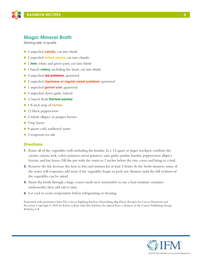

## **Magic Mineral Broth**

*Serving size: 6 quarts*

- 6 unpeeled **carrots**, cut into thirds
- 2 unpeeled **yellow onions**, cut into chunks
- 1 **leek**, white and green parts, cut into thirds
- 1 bunch **celery,** including the heart, cut into thirds
- n 4 unpeeled **red potatoes**, quartered
- n 2 unpeeled **Japanese or regular sweet potatoes**, quartered
- **n** 1 unpeeled **garnet yam**, quartered
- 5 unpeeled cloves garlic, halved
- n ½ bunch fresh **flat-leaf parsley**
- **n** 1 8-inch strip of **kombu**
- $\blacksquare$  12 black peppercorns
- 4 whole allspice or juniper berries
- $\blacksquare$  2 bay leaves
- 8 quarts cold, unfiltered water
- $\Box$  2 teaspoons sea salt

#### **Directions**

- **1.** Rinse all of the vegetables well, including the kombu. In a 12-quart or larger stockpot, combine the carrots, onions, leek, celery, potatoes, sweet potatoes, yam, garlic, parsley, kombu, peppercorns, allspice berries, and bay leaves. Fill the pot with the water to 2 inches below the rim, cover, and bring to a boil.
- **2.** Remove the lid, decrease the heat to low, and simmer for at least 2 hours. As the broth simmers, some of the water will evaporate; add more if the vegetables begin to peek out. Simmer until the full richness of the vegetables can be tasted.
- **3.** Strain the broth through a large, coarse-mesh sieve (remember to use a heat-resistant container underneath), then add salt to taste.
- **4.** Let cool to room temperature before refrigerating or freezing.

Reprinted with permission from The Cancer-Fighting Kitchen: Nourishing, Big-Flavor Recipes for Cancer Treatment and Recovery. Copyright © 2009 by Rebecca Katz with Mat Edelson, Ten Speed Press, a division of the Crown Publishing Group, Berkeley, CA.

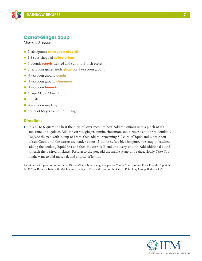

# **Carrot-Ginger Soup**

*Makes ≈ 2 quarts*

- **n** 2 tablespoons **extra virgin olive oil**
- n 1½ cups chopped **yellow onions**
- 3 pounds **carrots** washed and cut into 1-inch pieces
- 2 teaspoons grated fresh **ginger**, or 1 teaspoon ground
- n ¼ teaspoon ground **cumin**
- <sup>1/8</sup> teaspoon ground **cinnamon**
- n ¼ teaspoon **turmeric**
- 6 cups Magic Mineral Broth
- $\blacksquare$  Sea salt
- $\blacksquare$  ¼ teaspoon maple syrup
- Spritz of Meyer Lemon or Orange

#### **Directions**

**1.** In a 6- to 8-quart pot, heat the olive oil over medium heat. Add the onions with a pinch of salt and sauté until golden. Add the carrots, ginger, cumin, cinnamon, and turmeric and stir to combine. Deglaze the pan with  $\frac{1}{2}$  cup of broth, then add the remaining 5<sup>1</sup>/<sub>2</sub> cups of liquid and  $\frac{1}{2}$  teaspoon of salt. Cook until the carrots are tender, about 15 minutes. In a blender, purée the soup in batches, adding the cooking liquid first and then the carrots. Blend until very smooth. Add additional liquid to reach the desired thickness. Return to the pot, add the maple syrup, and reheat slowly. Taste. You might want to add more salt and a spritz of lemon.

Reprinted with permission from One Bite at a Time: Nourishing Recipes for Cancer Survivors and Their Friends Copyright © 2009 by Rebecca Katz with Mat Edelson, Ten Speed Press, a division of the Crown Publishing Group, Berkeley, CA.

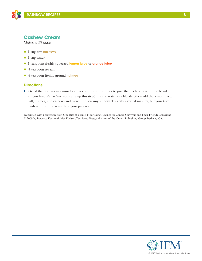

### **Cashew Cream**

*Makes ≈ 3½ cups*

- n 1 cup raw **cashews**
- $\blacksquare$  1 cup water
- n 1 teaspoons freshly squeezed **lemon juice** or **orange juice**
- $\blacksquare$  ¼ teaspoon sea salt
- <sup>1</sup>/<sub>8</sub> teaspoon freshly ground **nutmeg**

#### **Directions**

**1.** Grind the cashews in a mini food processor or nut grinder to give them a head start in the blender. (If you have a Vita-Mix, you can skip this step.) Put the water in a blender, then add the lemon juice, salt, nutmeg, and cashews and blend until creamy smooth. This takes several minutes, but your taste buds will reap the rewards of your patience.

Reprinted with permission from One Bite at a Time: Nourishing Recipes for Cancer Survivors and Their Friends Copyright © 2009 by Rebecca Katz with Mat Edelson, Ten Speed Press, a division of the Crown Publishing Group, Berkeley, CA.